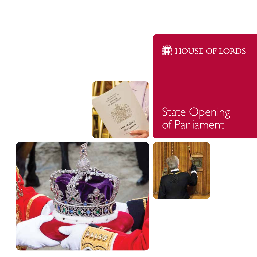



### State Opening of Parliament



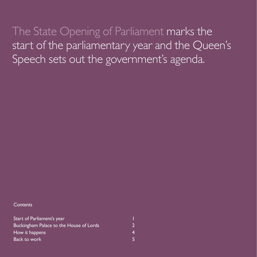The State Opening of Parliament marks the start of the parliamentary year and the Queen's Speech sets out the government's agenda.

**Contents** 

| Start of Parliament's year<br>Buckingham Palace to the House of Lords |  |
|-----------------------------------------------------------------------|--|
|                                                                       |  |
| <b>Back to work</b>                                                   |  |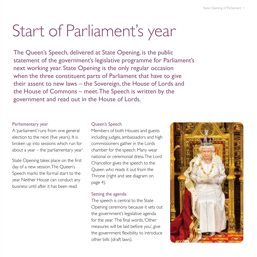# Start of Parliament's year

The Queen's Speech, delivered at State Opening, is the public statement of the government's legislative programme for Parliament's next working year. State Opening is the only regular occasion when the three constituent parts of Parliament that have to give their assent to new laws – the Sovereign, the House of Lords and the House of Commons – meet. The Speech is written by the government and read out in the House of Lords.

#### Parliamentary year

A 'parliament' runs from one general election to the next (five years). It is broken up into sessions which run for about a year – the 'parliamentary year'.

State Opening takes place on the first day of a new session. The Queen's Speech marks the formal start to the year. Neither House can conduct any business until after it has been read.

#### Queen's Speech

Members of both Houses and guests including judges, ambassadors and high commissioners gather in the Lords chamber for the speech. Many wear national or ceremonial dress.The Lord Chancellor gives the speech to the Queen who reads it out from the Throne (right and see diagram on page 4).

#### Setting the agenda

The speech is central to the State Opening ceremony because it sets out the government's legislative agenda for the year. The final words, 'Other measures will be laid before you', give the government flexibility to introduce other bills (draft laws).

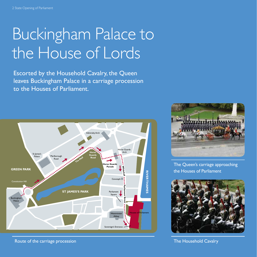# Buckingham Palace to the House of Lords

Escorted by the Household Cavalry, the Queen leaves Buckingham Palace in a carriage procession to the Houses of Parliament.



Route of the carriage procession The Household Cavalry Cavalry Cavalry Cavalry Cavalry The Household Cavalry



The Queen's carriage approaching the Houses of Parliament

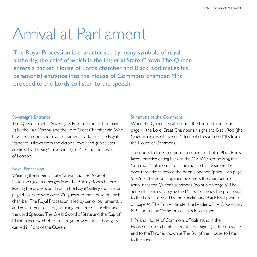### Arrival at Parliament

The Royal Procession is characterised by many symbols of royal authority, the chief of which is the Imperial State Crown. The Queen enters a packed House of Lords chamber and Black Rod makes his ceremonial entrance into the House of Commons chamber. MPs proceed to the Lords to listen to the speech.

#### Sovereign's Entrance

The Queen is met at Sovereign's Entrance (point 1 on page 4) by the Earl Marshal and the Lord Great Chamberlain (who have ceremonial and royal parliamentary duties). The Royal Standard is flown from the Victoria Tower and gun salutes are fired by the King's Troop in Hyde Park and the Tower of London.

#### Royal Procession

Wearing the Imperial State Crown and the Robe of State, the Queen emerges from the Robing Room before leading the procession through the Royal Gallery (point 2 on page 4), packed with over 600 guests, to the House of Lords chamber. The Royal Procession is led by senior parliamentary and government officers, including the Lord Chancellor and the Lord Speaker. The Great Sword of State and the Cap of Maintenance, symbols of sovereign power and authority, are carried in front of the Queen.

#### Summons of the Commons

When the Queen is seated upon the Throne (point 3 on page 4), the Lord Great Chamberlain signals to Black Rod (the Queen's representative in Parliament) to summon MPs from the House of Commons.

The doors to the Commons chamber are shut in Black Rod's face: a practice dating back to the Civil War, symbolising the Commons' autonomy from the monarchy. He strikes the door three times before the door is opened (point 4 on page 5). Once the door is opened he enters the chamber and announces the Queen's summons (point 5 on page 5). The Serjeant at Arms, carrying the Mace, then leads the procession to the Lords followed by the Speaker and Black Rod (point 6 on page 4). The Prime Minister, the Leader of the Opposition, MPs and senior Commons officials follow them.

MPs and House of Commons officials stand in the House of Lords chamber (point 7 on page 4) at the opposite end to the Throne, known as The Bar of the House, to listen to the speech.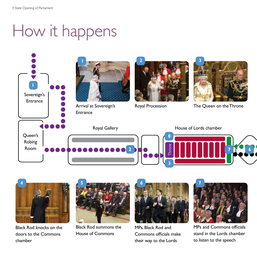## How it happens





Black Rod knocks on the doors to the Commons chamber



Black Rod summons the House of Commons



MPs, Black Rod and Commons officials make their way to the Lords



MPs and Commons officials stand in the Lords chamber to listen to the speech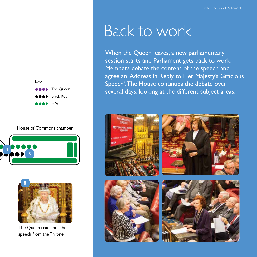

House of Commons chamber





The Queen reads out the speech from the Throne

### Back to work

When the Queen leaves, a new parliamentary session starts and Parliament gets back to work. Members debate the content of the speech and agree an 'Address in Reply to Her Majesty's Gracious Speech'. The House continues the debate over several days, looking at the different subject areas.